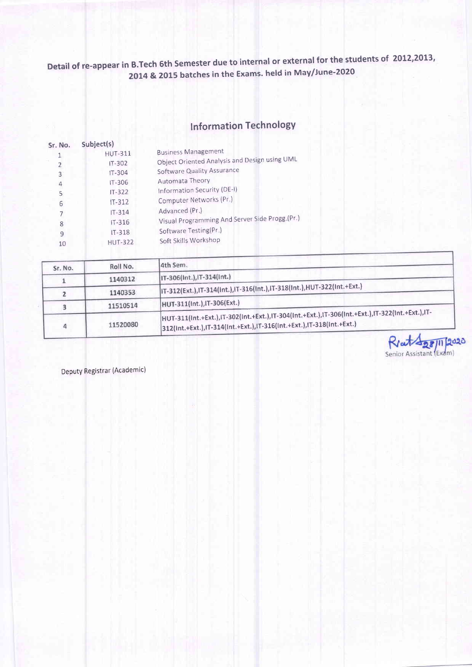# lnformation TechnologY

| Sr. No. | Subject(s)     |                                                |
|---------|----------------|------------------------------------------------|
|         | <b>HUT-311</b> | <b>Business Management</b>                     |
| 2       | $IT-302$       | Object Oriented Analysis and Design using UML  |
| 3       | IT-304         | Software Quality Assurance                     |
| 4       | $IT - 306$     | Automata Theory                                |
| 5       | $IT - 322$     | Information Security (DE-I)                    |
| 6       | $IT - 312$     | Computer Networks (Pr.)                        |
|         | $IT-314$       | Advanced (Pr.)                                 |
| 8       | $IT-316$       | Visual Programming And Server Side Progg (Pr.) |
| 9       | $IT - 318$     | Software Testing(Pr.)                          |
| 10      | <b>HUT-322</b> | Soft Skills Workshop                           |
|         |                |                                                |

| Sr. No. | Roll No. | 4th Sem.                                                                                                                                                               |
|---------|----------|------------------------------------------------------------------------------------------------------------------------------------------------------------------------|
|         | 1140312  | IT-306(Int.), IT-314(Int.)                                                                                                                                             |
|         | 1140353  | IT-312(Ext.),IT-314(Int.),IT-316(Int.),IT-318(Int.),HUT-322(Int.+Ext.)                                                                                                 |
|         | 11510514 | HUT-311(Int.), IT-306(Ext.)                                                                                                                                            |
|         | 11520080 | HUT-311(Int.+Ext.),IT-302(Int.+Ext.),IT-304(Int.+Ext.),IT-306(Int.+Ext.),IT-322(Int.+Ext.),IT-<br>312(Int.+Ext.),IT-314(Int.+Ext.),IT-316(Int.+Ext.),IT-318(Int.+Ext.) |

Rent Age 11 2020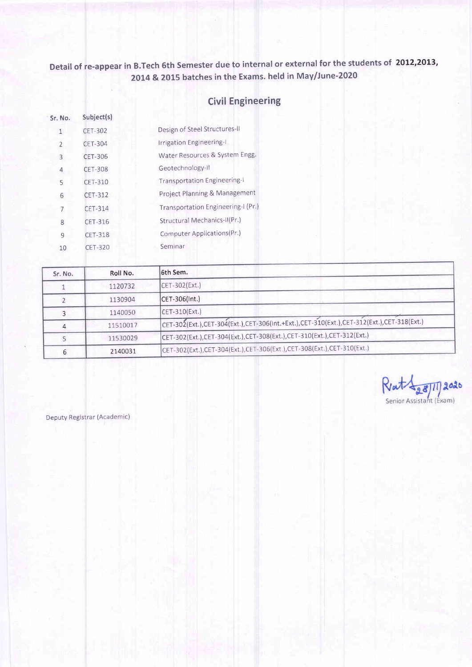## Civil Engineering

| Sr. No.        | Subject(s)     |                                    |
|----------------|----------------|------------------------------------|
| 1              | <b>CET-302</b> | Design of Steel Structures-II      |
| 2              | <b>CET-304</b> | Irrigation Engineering-I           |
| 3              | CET-306        | Water Resources & System Engg.     |
| 4              | <b>CET-308</b> | Geotechnology-II                   |
| 5              | <b>CET-310</b> | Transportation Engineering-I       |
| 6              | <b>CET-312</b> | Project Planning & Management      |
| $\overline{7}$ | <b>CET-314</b> | Transportation Engineering-I (Pr.) |
| 8              | CET-316        | Structural Mechanics-II(Pr.)       |
| 9              | <b>CET-318</b> | Computer Applications(Pr.)         |
| 10             | <b>CET-320</b> | Seminar                            |
|                |                |                                    |

| Sr. No. | Roll No. | 6th Sem.                                                                                 |
|---------|----------|------------------------------------------------------------------------------------------|
|         | 1120732  | $CET-302(Ext.)$                                                                          |
|         | 1130904  | $ CET-306 $ Int.)                                                                        |
|         | 1140050  | $CET-310(Ext.)$                                                                          |
|         | 11510017 | CET-302(Ext.),CET-304(Ext.),CET-306(Int.+Ext.),CET-310(Ext.),CET-312(Ext.),CET-318(Ext.) |
|         | 11530029 | CET-302(Ext.),CET-304(Ext.),CET-308(Ext.),CET-310(Ext.),CET-312(Ext.)                    |
| 6.      | 2140031  | CET-302(Ext.),CET-304(Ext.),CET-306(Ext.),CET-308(Ext.),CET-310(Ext.)                    |

 $R$ at $\frac{1}{28}$ 11) 2020 Senior Assistant (Exam)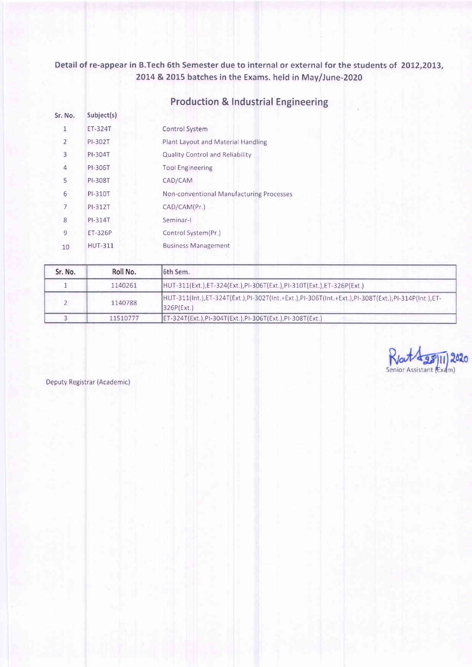| Sr. No.        | Subject(s)     |                                          |
|----------------|----------------|------------------------------------------|
| 1              | ET-324T        | Control System                           |
| $\overline{2}$ | PI-302T        | Plant Layout and Material Handling       |
| 3              | PI-304T        | <b>Quality Control and Reliability</b>   |
| 4              | PI-306T        | <b>Tool Engineering</b>                  |
| 5              | PI-308T        | CAD/CAM                                  |
| 6              | PI-310T        | Non-conventional Manufacturing Processes |
| 7              | PI-312T        | CAD/CAM(Pr.)                             |
| 8              | PI-314T        | Seminar-I                                |
| 9              | ET-326P        | Control System(Pr.)                      |
| 10             | <b>HUT-311</b> | <b>Business Management</b>               |
|                |                |                                          |

# Production & lndustrial Engineering

| Sr. No. | Roll No. | 16th Sem.                                                                                                       |
|---------|----------|-----------------------------------------------------------------------------------------------------------------|
|         | 1140261  | HUT-311(Ext.), ET-324(Ext.), PI-306T(Ext.), PI-310T(Ext.), ET-326P(Ext.)                                        |
|         | 1140788  | HUT-311(Int.),ET-324T(Ext.),PI-302T(Int.+Ext.),PI-306T(Int.+Ext.),PI-308T(Ext.),PI-314P(Int.),ET-<br>326P(Ext.) |
|         | 11510777 | ET-324T(Ext.), PI-304T(Ext.), PI-306T(Ext.), PI-308T(Ext.)                                                      |

Rattag 020 Senior Assistant (Exam)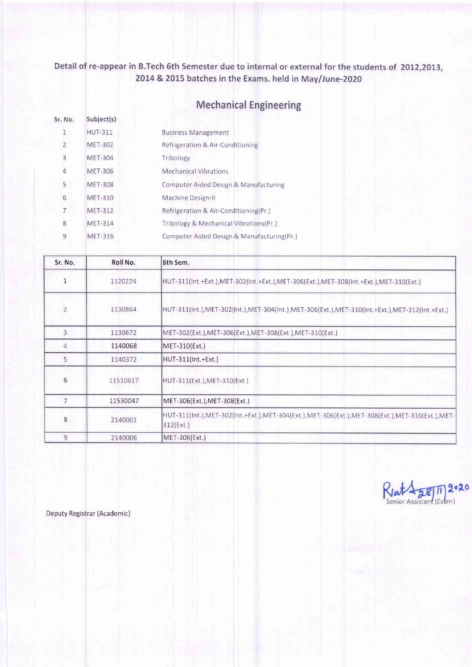# Mechanical Engineering

| Sr. No. | Subject(s)     |                                            |
|---------|----------------|--------------------------------------------|
|         | <b>HUT-311</b> | <b>Business Management</b>                 |
| 2       | <b>MET-302</b> | Refrigeration & Air-Conditioning           |
| 3       | <b>MET-304</b> | Tribology                                  |
| 4       | <b>MET-306</b> | <b>Mechanical Vibrations</b>               |
| 5       | <b>MET-308</b> | Computer Aided Design & Manufacturing      |
| 6       | <b>MET-310</b> | Machine Design-II                          |
| 7       | <b>MET-312</b> | Refrigeration & Air-Conditioning(Pr.)      |
| 8       | <b>MET-314</b> | Tribology & Mechanical Vibrations(Pr.)     |
| 9       | MET-316        | Computer Aided Design & Manufacturing(Pr.) |

| Sr. No.        | Roll No. | 6th Sem.                                                                                                      |
|----------------|----------|---------------------------------------------------------------------------------------------------------------|
|                | 1120224  | HUT-311(Int.+Ext.),MET-302(Int.+Ext.),MET-306(Ext.),MET-308(Int.+Ext.),MET-310(Ext.)                          |
| $\overline{2}$ | 1130864  | HUT-311(Int.),MET-302(Int.),MET-304(Int.),MET-306(Ext.),MET-310(Int.+Ext.),MET-312(Int.+Ext.)                 |
| $\overline{3}$ | 1130872  | MET-302(Ext.), MET-306(Ext.), MET-308(Ext.), MET-310(Ext.)                                                    |
| 4              | 1140068  | MET-310(Ext.)                                                                                                 |
| 5              | 1140372  | HUT-311(Int.+Ext.)                                                                                            |
| 6              | 11510617 | HUT-311(Ext.), MET-310(Ext.)                                                                                  |
| $\overline{7}$ | 11530047 | MET-306(Ext.), MET-308(Ext.)                                                                                  |
| 8              | 2140001  | HUT-311(Int.),MET-302(Int.+Ext.),MET-304(Ext.),MET-306(Ext.),MET-308(Ext.),MET-310(Ext.),MET-<br>$312$ (Ext.) |
| 9              | 2140006  | MET-306(Ext.)                                                                                                 |

Riat 28  $2020$  $(Exam)$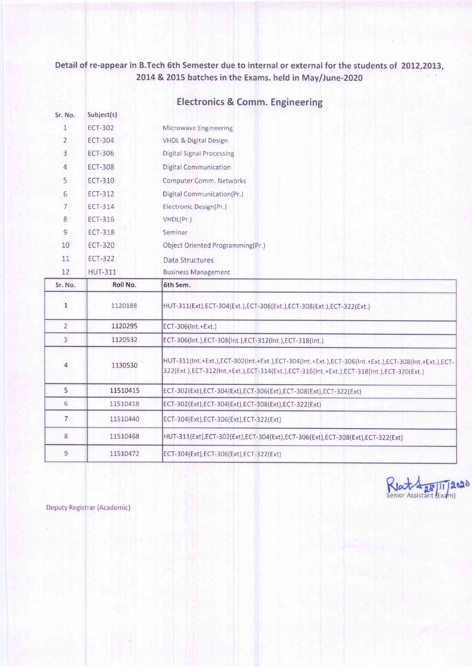| Sr. No.        | Subject(s)     |                                                                                                                                                                                                       |
|----------------|----------------|-------------------------------------------------------------------------------------------------------------------------------------------------------------------------------------------------------|
| $\mathbf{1}$   | <b>ECT-302</b> | Microwave Engineering                                                                                                                                                                                 |
| $\overline{2}$ | <b>ECT-304</b> | <b>VHDL &amp; Digital Design</b>                                                                                                                                                                      |
| 3              | ECT-306        | <b>Digital Signal Processing</b>                                                                                                                                                                      |
| 4              | <b>ECT-308</b> | Digital Communication                                                                                                                                                                                 |
| 5              | <b>ECT-310</b> | Computer Comm. Networks                                                                                                                                                                               |
| 6              | <b>ECT-312</b> | Digital Communication(Pr.)                                                                                                                                                                            |
| $\overline{7}$ | <b>ECT-314</b> | Electronic Design(Pr.)                                                                                                                                                                                |
| 8              | ECT-316        | VHDL(Pr.)                                                                                                                                                                                             |
| $\overline{9}$ | <b>ECT-318</b> | Seminar                                                                                                                                                                                               |
| 10             | <b>ECT-320</b> | Object Oriented Programming(Pr.)                                                                                                                                                                      |
| 11             | <b>ECT-322</b> | Data Structures                                                                                                                                                                                       |
| 12             | <b>HUT-311</b> | <b>Business Management</b>                                                                                                                                                                            |
| Sr. No.        | Roll No.       | 6th Sem.                                                                                                                                                                                              |
|                |                |                                                                                                                                                                                                       |
| $\mathbf{1}$   | 1120188        | HUT-311(Ext), ECT-304(Ext.), ECT-306(Ext.), ECT-308(Ext.), ECT-322(Ext.)                                                                                                                              |
| $\overline{2}$ | 1120295        | ECT-306(Int.+Ext.)                                                                                                                                                                                    |
| $\overline{3}$ | 1120532        | ECT-306(Int.), ECT-308(Int.), ECT-312(Int.), ECT-318(Int.)                                                                                                                                            |
| 4              | 1130530        | HUT-311(Int.+Ext.),ECT-302(Int.+Ext.),ECT-304(Int.+Ext.),ECT-306(Int.+Ext.),ECT-308(Int.+Ext.),ECT-<br>322(Ext.), ECT-312(Int.+Ext.), ECT-314(Ext.), ECT-316(Int.+Ext.), ECT-318(Int.), ECT-320(Ext.) |
| 5              | 11510415       | ECT-302(Ext), ECT-304(Ext), ECT-306(Ext), ECT-308(Ext), ECT-322(Ext)                                                                                                                                  |
| 6              | 11510418       | ECT-302(Ext), ECT-304(Ext), ECT-308(Ext), ECT-322(Ext)                                                                                                                                                |
| $\overline{7}$ | 11510440       | ECT-304(Ext), ECT-306(Ext), ECT-322(Ext)                                                                                                                                                              |
| 8              | 11510468       | HUT-311(Ext),ECT-302(Ext),ECT-304(Ext),ECT-306(Ext),ECT-308(Ext),ECT-322(Ext)                                                                                                                         |

## Electronics & Comm. Engineering

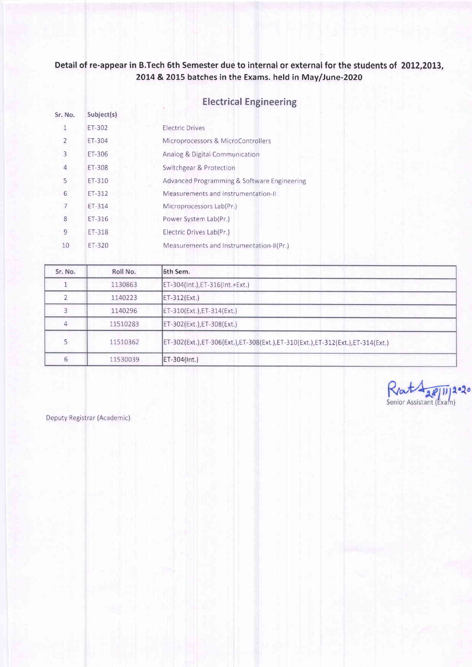## Electrical Engineering

| Sr. No.        | Subject(s) |                                             |
|----------------|------------|---------------------------------------------|
| $\mathbf{1}$   | ET-302     | <b>Electric Drives</b>                      |
| $\overline{2}$ | ET-304     | Microprocessors & MicroControllers          |
| 3              | ET-306     | Analog & Digital Communication              |
| $\overline{4}$ | ET-308     | Switchgear & Protection                     |
| 5              | ET-310     | Advanced Programming & Software Engineering |
| 6              | ET-312     | Measurements and Instrumentation-II         |
| $\overline{7}$ | ET-314     | Microprocessors Lab(Pr.)                    |
| 8              | ET-316     | Power System Lab(Pr.)                       |
| 9              | ET-318     | Electric Drives Lab(Pr.)                    |
| 10             | ET-320     | Measurements and Instrumentation-II(Pr.)    |

| Sr. No. | Roll No. | 6th Sem.                                                                      |
|---------|----------|-------------------------------------------------------------------------------|
|         | 1130863  | ET-304(Int.), ET-316(Int.+Ext.)                                               |
|         | 1140223  | ET-312(Ext.)                                                                  |
| 3       | 1140296  | $ET-310(Ext.)$ , $ET-314(Ext.)$                                               |
| 4       | 11510283 | ET-302(Ext.), ET-308(Ext.)                                                    |
|         | 11510362 | ET-302(Ext.),ET-306(Ext.),ET-308(Ext.),ET-310(Ext.),ET-312(Ext.),ET-314(Ext.) |
|         | 11530039 | ET-304(Int.)                                                                  |

Renta Relliga.20